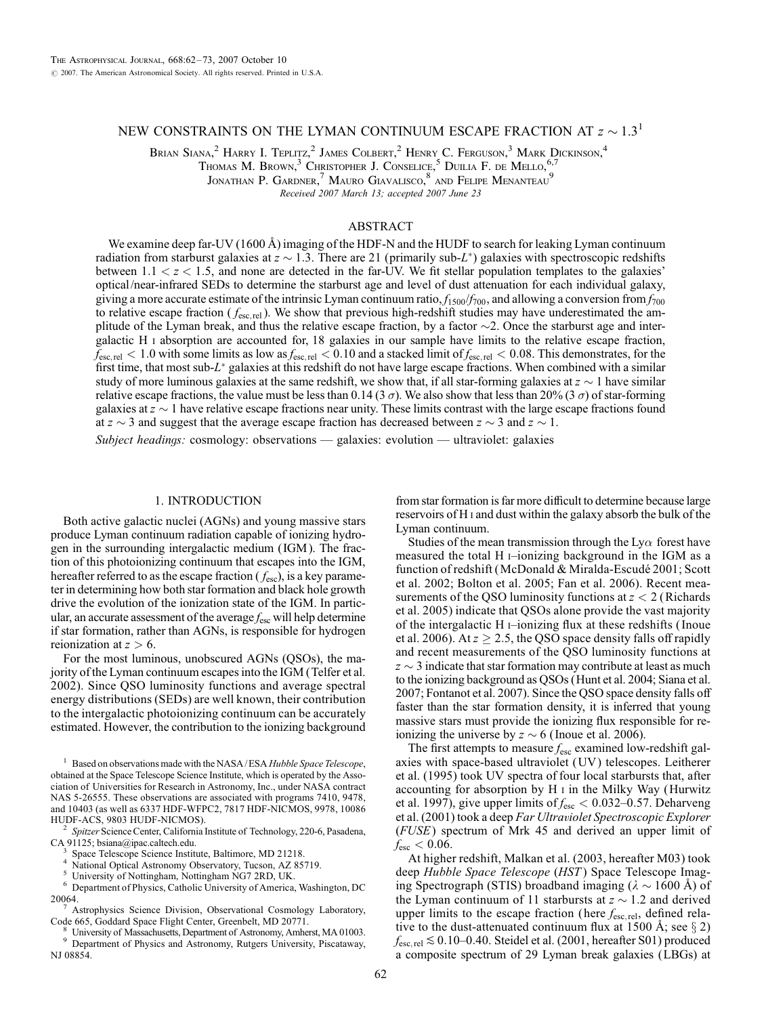# NEW CONSTRAINTS ON THE LYMAN CONTINUUM ESCAPE FRACTION AT  $z \sim 1.3$ <sup>1</sup>

Brian Siana, $^2$  Harry I. Teplitz, $^2$  James Colbert, $^2$  Henry C. Ferguson, $^3$  Mark Dickinson, $^4$ 

Thomas M. Brown,  $3$  Christopher J. Conselice,  $5$  Duilia F. de Mello,  $^{6,7}$ 

JONATHAN P. GARDNER,<sup>7</sup> MAURO GIAVALISCO,<sup>8</sup> AND FELIPE MENANTEAU<sup>9</sup>

Received 2007 March 13; accepted 2007 June 23

# ABSTRACT

We examine deep far-UV (1600 Å) imaging of the HDF-N and the HUDF to search for leaking Lyman continuum radiation from starburst galaxies at  $z \sim 1.3$ . There are 21 (primarily sub-L<sup>\*</sup>) galaxies with spectroscopic redshifts between  $1.1 < z < 1.5$ , and none are detected in the far-UV. We fit stellar population templates to the galaxies' optical/near-infrared SEDs to determine the starburst age and level of dust attenuation for each individual galaxy, giving a more accurate estimate of the intrinsic Lyman continuum ratio,  $f_{1500}/f_{700}$ , and allowing a conversion from  $f_{700}$ to relative escape fraction ( $f_{\text{esc,rel}}$ ). We show that previous high-redshift studies may have underestimated the amplitude of the Lyman break, and thus the relative escape fraction, by a factor  $\sim$ 2. Once the starburst age and intergalactic H i absorption are accounted for, 18 galaxies in our sample have limits to the relative escape fraction,  $f_{\text{esc, rel}} < 1.0$  with some limits as low as  $f_{\text{esc, rel}} < 0.10$  and a stacked limit of  $f_{\text{esc, rel}} < 0.08$ . This demonstrates, for the first time, that most sub-L<sup>\*</sup> galaxies at this redshift do not have large escape fractions. When combined with a similar study of more luminous galaxies at the same redshift, we show that, if all star-forming galaxies at  $z \sim 1$  have similar relative escape fractions, the value must be less than 0.14 (3  $\sigma$ ). We also show that less than 20% (3  $\sigma$ ) of star-forming galaxies at  $z \sim 1$  have relative escape fractions near unity. These limits contrast with the large escape fractions found at  $z \sim 3$  and suggest that the average escape fraction has decreased between  $z \sim 3$  and  $z \sim 1$ .

Subject headings: cosmology: observations — galaxies: evolution — ultraviolet: galaxies

# 1. INTRODUCTION

Both active galactic nuclei (AGNs) and young massive stars produce Lyman continuum radiation capable of ionizing hydrogen in the surrounding intergalactic medium ( IGM ). The fraction of this photoionizing continuum that escapes into the IGM, hereafter referred to as the escape fraction ( $f_{\text{esc}}$ ), is a key parameter in determining how both star formation and black hole growth drive the evolution of the ionization state of the IGM. In particular, an accurate assessment of the average  $f_{\rm esc}$  will help determine if star formation, rather than AGNs, is responsible for hydrogen reionization at  $z > 6$ .

For the most luminous, unobscured AGNs (QSOs), the majority of the Lyman continuum escapes into the IGM (Telfer et al. 2002). Since QSO luminosity functions and average spectral energy distributions (SEDs) are well known, their contribution to the intergalactic photoionizing continuum can be accurately estimated. However, the contribution to the ionizing background

Based on observations made with the NASA/ESA Hubble Space Telescope, obtained at the Space Telescope Science Institute, which is operated by the Association of Universities for Research in Astronomy, Inc., under NASA contract NAS 5-26555. These observations are associated with programs 7410, 9478, and 10403 (as well as 6337 HDF-WFPC2, 7817 HDF-NICMOS, 9978, 10086

 $h<sup>2</sup>$  Spitzer Science Center, California Institute of Technology, 220-6, Pasadena, CA 91125; bsiana@ipac.caltech.edu.<br>
<sup>3</sup> Space Telescope Science Institute, Baltimore, MD 21218.<br>
<sup>4</sup> National Optical Astronomy Observatory, Tucson, AZ 85719.<br>
<sup>5</sup> University of Nottingham, Nottingham NG7 2RD, UK.<br>
<sup>6</sup> Dep

- 
- 

20064.<br><sup>7</sup> Astrophysics Science Division, Observational Cosmology Laboratory,<br>Code 665, Goddard Space Flight Center, Greenbelt, MD 20771.

University of Massachusetts, Department of Astronomy, Amherst, MA 01003. Department of Physics and Astronomy, Rutgers University, Piscataway, NJ 08854.

from star formation is far more difficult to determine because large reservoirs of H i and dust within the galaxy absorb the bulk of the Lyman continuum.

Studies of the mean transmission through the Ly $\alpha$  forest have measured the total H  $\rightarrow$ ionizing background in the IGM as a function of redshift (McDonald & Miralda-Escudé 2001; Scott et al. 2002; Bolton et al. 2005; Fan et al. 2006). Recent measurements of the QSO luminosity functions at  $z < 2$  (Richards et al. 2005) indicate that QSOs alone provide the vast majority of the intergalactic H  $\mu$ -ionizing flux at these redshifts (Inoue et al. 2006). At  $z \ge 2.5$ , the QSO space density falls off rapidly and recent measurements of the QSO luminosity functions at  $z \sim 3$  indicate that star formation may contribute at least as much to the ionizing background as QSOs (Hunt et al. 2004; Siana et al. 2007; Fontanot et al. 2007). Since the QSO space density falls off faster than the star formation density, it is inferred that young massive stars must provide the ionizing flux responsible for reionizing the universe by  $z \sim 6$  (Inoue et al. 2006).

The first attempts to measure  $f_{\text{esc}}$  examined low-redshift galaxies with space-based ultraviolet (UV ) telescopes. Leitherer et al. (1995) took UV spectra of four local starbursts that, after accounting for absorption by  $H \,$  i in the Milky Way (Hurwitz et al. 1997), give upper limits of  $f_{\text{esc}} < 0.032{\text -}0.57$ . Deharveng et al. (2001) took a deep Far Ultraviolet Spectroscopic Explorer (FUSE) spectrum of Mrk 45 and derived an upper limit of  $f_{\text{esc}} < 0.06$ .

At higher redshift, Malkan et al. (2003, hereafter M03) took deep Hubble Space Telescope (HST) Space Telescope Imaging Spectrograph (STIS) broadband imaging ( $\lambda \sim 1600$  Å) of the Lyman continuum of 11 starbursts at  $z \sim 1.2$  and derived upper limits to the escape fraction (here  $f_{\text{esc, rel}}$ , defined relative to the dust-attenuated continuum flux at 1500 Å; see  $\S 2$ )  $f_{\text{esc, rel}} \lesssim 0.10{\text{-}}0.40$ . Steidel et al. (2001, hereafter S01) produced a composite spectrum of 29 Lyman break galaxies (LBGs) at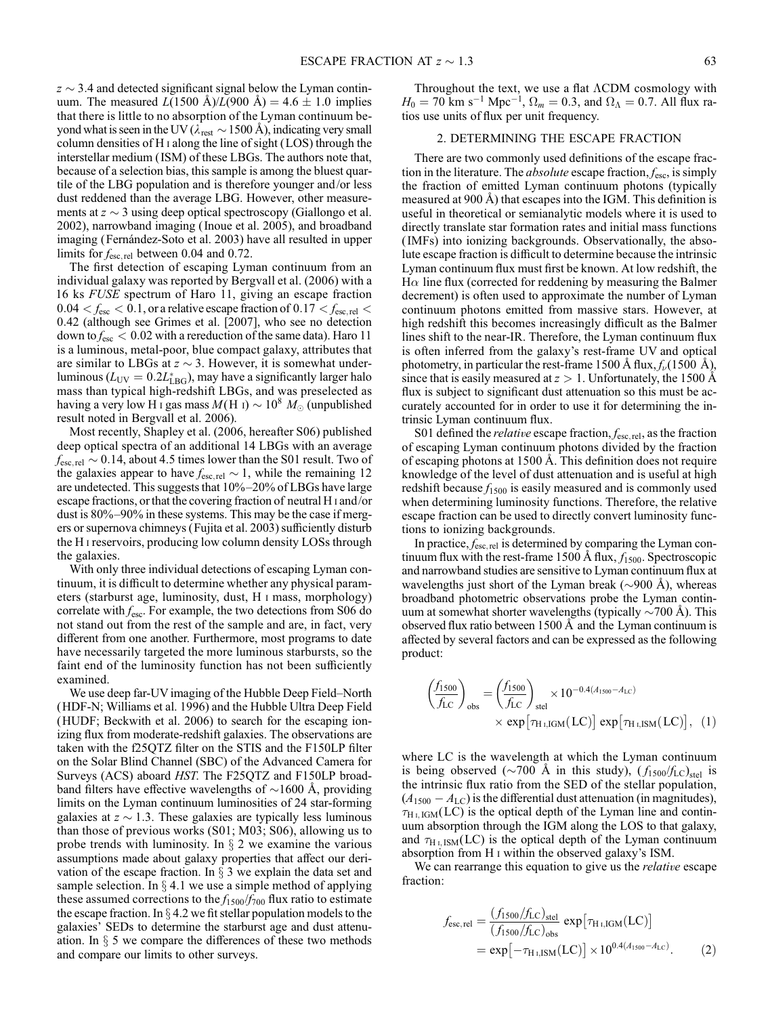$z \sim 3.4$  and detected significant signal below the Lyman continuum. The measured  $L(1500 \text{ Å})/L(900 \text{ Å}) = 4.6 \pm 1.0 \text{ implies}$ that there is little to no absorption of the Lyman continuum beyond what is seen in the UV ( $\lambda_{rest} \sim 1500$  Å), indicating very small column densities of H i along the line of sight (LOS) through the interstellar medium ( ISM) of these LBGs. The authors note that, because of a selection bias, this sample is among the bluest quartile of the LBG population and is therefore younger and/or less dust reddened than the average LBG. However, other measurements at  $z \sim 3$  using deep optical spectroscopy (Giallongo et al. 2002), narrowband imaging ( Inoue et al. 2005), and broadband imaging (Fernández-Soto et al. 2003) have all resulted in upper limits for  $f_{\text{esc,rel}}$  between 0.04 and 0.72.

The first detection of escaping Lyman continuum from an individual galaxy was reported by Bergvall et al. (2006) with a 16 ks FUSE spectrum of Haro 11, giving an escape fraction  $0.04 < f<sub>esc</sub> < 0.1$ , or a relative escape fraction of  $0.17 < f<sub>esc, rel</sub> <$ 0:42 (although see Grimes et al. [2007], who see no detection down to  $f_{\text{esc}} < 0.02$  with a rereduction of the same data). Haro 11 is a luminous, metal-poor, blue compact galaxy, attributes that are similar to LBGs at  $z \sim 3$ . However, it is somewhat underluminous ( $L_{UV} = 0.2L_{LBG}^*$ ), may have a significantly larger halo mass than typical high-redshift LBGs, and was preselected as having a very low H i gas mass  $M(H I) \sim 10^8 M_{\odot}$  (unpublished result noted in Bergvall et al. 2006).

Most recently, Shapley et al. (2006, hereafter S06) published deep optical spectra of an additional 14 LBGs with an average  $f_{\text{esc, rel}} \sim 0.14$ , about 4.5 times lower than the S01 result. Two of the galaxies appear to have  $f_{\text{esc,rel}} \sim 1$ , while the remaining 12 are undetected. This suggests that  $10\% - 20\%$  of LBGs have large escape fractions, or that the covering fraction of neutral H i and/or dust is  $80\% - 90\%$  in these systems. This may be the case if mergers or supernova chimneys (Fujita et al. 2003) sufficiently disturb the H i reservoirs, producing low column density LOSs through the galaxies.

With only three individual detections of escaping Lyman continuum, it is difficult to determine whether any physical parameters (starburst age, luminosity, dust, H i mass, morphology) correlate with  $f_{\text{esc}}$ . For example, the two detections from S06 do not stand out from the rest of the sample and are, in fact, very different from one another. Furthermore, most programs to date have necessarily targeted the more luminous starbursts, so the faint end of the luminosity function has not been sufficiently examined.

We use deep far-UV imaging of the Hubble Deep Field–North (HDF-N; Williams et al. 1996) and the Hubble Ultra Deep Field (HUDF; Beckwith et al. 2006) to search for the escaping ionizing flux from moderate-redshift galaxies. The observations are taken with the f25QTZ filter on the STIS and the F150LP filter on the Solar Blind Channel (SBC) of the Advanced Camera for Surveys (ACS) aboard HST. The F25QTZ and F150LP broadband filters have effective wavelengths of  $\sim$ 1600 Å, providing limits on the Lyman continuum luminosities of 24 star-forming galaxies at  $z \sim 1.3$ . These galaxies are typically less luminous than those of previous works (S01; M03; S06), allowing us to probe trends with luminosity. In  $\S$  2 we examine the various assumptions made about galaxy properties that affect our derivation of the escape fraction. In  $\S$  3 we explain the data set and sample selection. In  $\S 4.1$  we use a simple method of applying these assumed corrections to the  $f_{1500}/f_{700}$  flux ratio to estimate the escape fraction. In  $\S 4.2$  we fit stellar population models to the galaxies' SEDs to determine the starburst age and dust attenuation. In  $\S$  5 we compare the differences of these two methods and compare our limits to other surveys.

Throughout the text, we use a flat  $\Lambda$ CDM cosmology with  $H_0 = 70$  km s<sup>-1</sup> Mpc<sup>-1</sup>,  $\Omega_m = 0.3$ , and  $\Omega_\Lambda = 0.7$ . All flux ratios use units of flux per unit frequency.

# 2. DETERMINING THE ESCAPE FRACTION

There are two commonly used definitions of the escape fraction in the literature. The *absolute* escape fraction,  $f_{\text{esc}}$ , is simply the fraction of emitted Lyman continuum photons (typically measured at  $900 \text{ Å}$ ) that escapes into the IGM. This definition is useful in theoretical or semianalytic models where it is used to directly translate star formation rates and initial mass functions ( IMFs) into ionizing backgrounds. Observationally, the absolute escape fraction is difficult to determine because the intrinsic Lyman continuum flux must first be known. At low redshift, the  $H\alpha$  line flux (corrected for reddening by measuring the Balmer decrement) is often used to approximate the number of Lyman continuum photons emitted from massive stars. However, at high redshift this becomes increasingly difficult as the Balmer lines shift to the near-IR. Therefore, the Lyman continuum flux is often inferred from the galaxy's rest-frame UV and optical photometry, in particular the rest-frame 1500 Å flux,  $f_{\nu}$ (1500 Å), since that is easily measured at  $z > 1$ . Unfortunately, the 1500 Å flux is subject to significant dust attenuation so this must be accurately accounted for in order to use it for determining the intrinsic Lyman continuum flux.

S01 defined the *relative* escape fraction,  $f_{\text{esc, rel}}$ , as the fraction of escaping Lyman continuum photons divided by the fraction of escaping photons at 1500 Å. This definition does not require knowledge of the level of dust attenuation and is useful at high redshift because  $f_{1500}$  is easily measured and is commonly used when determining luminosity functions. Therefore, the relative escape fraction can be used to directly convert luminosity functions to ionizing backgrounds.

In practice,  $f_{\text{esc,rel}}$  is determined by comparing the Lyman continuum flux with the rest-frame 1500 Å flux,  $f_{1500}$ . Spectroscopic and narrowband studies are sensitive to Lyman continuum flux at wavelengths just short of the Lyman break  $(\sim 900 \text{ A})$ , whereas broadband photometric observations probe the Lyman continuum at somewhat shorter wavelengths (typically  $\sim$ 700 Å). This observed flux ratio between  $1500 \text{ Å}$  and the Lyman continuum is affected by several factors and can be expressed as the following product:

$$
\left(\frac{f_{1500}}{f_{LC}}\right)_{obs} = \left(\frac{f_{1500}}{f_{LC}}\right)_{set} \times 10^{-0.4(A_{1500} - A_{LC})}
$$

$$
\times \exp\left[\tau_{\text{H I,IGM}}(LC)\right] \exp\left[\tau_{\text{H I,ISM}}(LC)\right], \quad (1)
$$

where LC is the wavelength at which the Lyman continuum is being observed ( $\sim$ 700 Å in this study),  $(f_{1500}/f_{LC})_{\text{stel}}$  is the intrinsic flux ratio from the SED of the stellar population,  $(A_{1500} - A_{LC})$  is the differential dust attenuation (in magnitudes),  $\tau_{\text{H I, IGM}}(\text{LC})$  is the optical depth of the Lyman line and continuum absorption through the IGM along the LOS to that galaxy, and  $\tau_{\text{H I, ISM}}(\text{LC})$  is the optical depth of the Lyman continuum absorption from H i within the observed galaxy's ISM.

We can rearrange this equation to give us the *relative* escape fraction:

$$
f_{\text{esc, rel}} = \frac{(f_{1500}/f_{\text{LC}})_{\text{stel}}}{(f_{1500}/f_{\text{LC}})_{\text{obs}}} \exp[\tau_{\text{H I},\text{IGM}}(\text{LC})] = \exp[-\tau_{\text{H I},\text{ISM}}(\text{LC})] \times 10^{0.4(A_{1500} - A_{\text{LC}})}.
$$
 (2)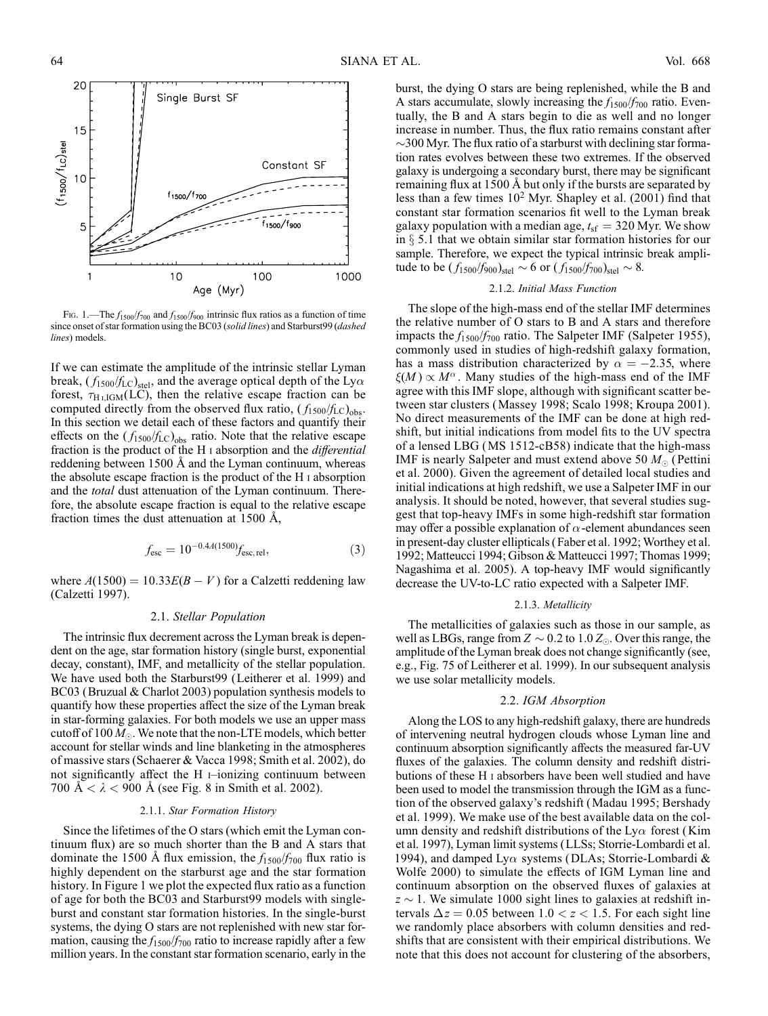

Fig. 1.—The  $f_{1500}/f_{700}$  and  $f_{1500}/f_{900}$  intrinsic flux ratios as a function of time since onset of star formation using the BC03 (solid lines) and Starburst99 (dashed lines) models.

If we can estimate the amplitude of the intrinsic stellar Lyman break,  $(f_{1500}/f_{LC})_{\text{stel}}$ , and the average optical depth of the Ly $\alpha$ forest,  $\tau_{\text{H I,IGM}}(\text{LC})$ , then the relative escape fraction can be computed directly from the observed flux ratio,  $(f_{1500}/f_{LC})_{obs}$ . In this section we detail each of these factors and quantify their effects on the  $(f_{1500}/f_{LC})_{obs}$  ratio. Note that the relative escape fraction is the product of the H i absorption and the differential reddening between  $1500 \text{ Å}$  and the Lyman continuum, whereas the absolute escape fraction is the product of the H i absorption and the *total* dust attenuation of the Lyman continuum. Therefore, the absolute escape fraction is equal to the relative escape fraction times the dust attenuation at  $1500 \text{ Å}$ ,

$$
f_{\rm esc} = 10^{-0.4A(1500)} f_{\rm esc, rel},\tag{3}
$$

where  $A(1500) = 10.33E(B - V)$  for a Calzetti reddening law (Calzetti 1997).

# 2.1. Stellar Population

The intrinsic flux decrement across the Lyman break is dependent on the age, star formation history (single burst, exponential decay, constant), IMF, and metallicity of the stellar population. We have used both the Starburst99 (Leitherer et al. 1999) and BC03 (Bruzual & Charlot 2003) population synthesis models to quantify how these properties affect the size of the Lyman break in star-forming galaxies. For both models we use an upper mass cutoff of 100  $M_{\odot}$ . We note that the non-LTE models, which better account for stellar winds and line blanketing in the atmospheres of massive stars (Schaerer & Vacca 1998; Smith et al. 2002), do not significantly affect the  $H$  i-ionizing continuum between 700  $\AA < \lambda < 900$  Å (see Fig. 8 in Smith et al. 2002).

## 2.1.1. Star Formation History

Since the lifetimes of the O stars (which emit the Lyman continuum flux) are so much shorter than the B and A stars that dominate the 1500 Å flux emission, the  $f_{1500}/f_{700}$  flux ratio is highly dependent on the starburst age and the star formation history. In Figure 1 we plot the expected flux ratio as a function of age for both the BC03 and Starburst99 models with singleburst and constant star formation histories. In the single-burst systems, the dying O stars are not replenished with new star formation, causing the  $f_{1500}/f_{700}$  ratio to increase rapidly after a few million years. In the constant star formation scenario, early in the

burst, the dying O stars are being replenished, while the B and A stars accumulate, slowly increasing the  $f_{1500}/f_{700}$  ratio. Eventually, the B and A stars begin to die as well and no longer increase in number. Thus, the flux ratio remains constant after  $\sim$ 300 Myr. The flux ratio of a starburst with declining star formation rates evolves between these two extremes. If the observed galaxy is undergoing a secondary burst, there may be significant remaining flux at 1500 Å but only if the bursts are separated by less than a few times  $10^2$  Myr. Shapley et al. (2001) find that constant star formation scenarios fit well to the Lyman break galaxy population with a median age,  $t_{sf} = 320$  Myr. We show in  $\S$  5.1 that we obtain similar star formation histories for our sample. Therefore, we expect the typical intrinsic break amplitude to be  $(f_{1500}/f_{900})_{\text{stel}} \sim 6$  or  $(f_{1500}/f_{700})_{\text{stel}} \sim 8$ .

# 2.1.2. Initial Mass Function

The slope of the high-mass end of the stellar IMF determines the relative number of O stars to B and A stars and therefore impacts the  $f_{1500}/f_{700}$  ratio. The Salpeter IMF (Salpeter 1955), commonly used in studies of high-redshift galaxy formation, has a mass distribution characterized by  $\alpha = -2.35$ , where  $\xi(M) \propto M^{\alpha}$ . Many studies of the high-mass end of the IMF agree with this IMF slope, although with significant scatter between star clusters (Massey 1998; Scalo 1998; Kroupa 2001). No direct measurements of the IMF can be done at high redshift, but initial indications from model fits to the UV spectra of a lensed LBG (MS 1512-cB58) indicate that the high-mass IMF is nearly Salpeter and must extend above 50  $M_{\odot}$  (Pettini et al. 2000). Given the agreement of detailed local studies and initial indications at high redshift, we use a Salpeter IMF in our analysis. It should be noted, however, that several studies suggest that top-heavy IMFs in some high-redshift star formation may offer a possible explanation of  $\alpha$ -element abundances seen in present-day cluster ellipticals (Faber et al. 1992; Worthey et al. 1992; Matteucci 1994; Gibson & Matteucci 1997; Thomas 1999; Nagashima et al. 2005). A top-heavy IMF would significantly decrease the UV-to-LC ratio expected with a Salpeter IMF.

#### 2.1.3. Metallicity

The metallicities of galaxies such as those in our sample, as well as LBGs, range from  $Z \sim 0.2$  to 1.0  $Z_{\odot}$ . Over this range, the amplitude of the Lyman break does not change significantly (see, e.g., Fig. 75 of Leitherer et al. 1999). In our subsequent analysis we use solar metallicity models.

# 2.2. IGM Absorption

Along the LOS to any high-redshift galaxy, there are hundreds of intervening neutral hydrogen clouds whose Lyman line and continuum absorption significantly affects the measured far-UV fluxes of the galaxies. The column density and redshift distributions of these H i absorbers have been well studied and have been used to model the transmission through the IGM as a function of the observed galaxy's redshift (Madau 1995; Bershady et al. 1999). We make use of the best available data on the column density and redshift distributions of the Ly $\alpha$  forest (Kim et al. 1997), Lyman limit systems (LLSs; Storrie-Lombardi et al. 1994), and damped Ly $\alpha$  systems (DLAs; Storrie-Lombardi & Wolfe 2000) to simulate the effects of IGM Lyman line and continuum absorption on the observed fluxes of galaxies at  $z \sim 1$ . We simulate 1000 sight lines to galaxies at redshift intervals  $\Delta z = 0.05$  between 1.0  $\lt z \lt 1.5$ . For each sight line we randomly place absorbers with column densities and redshifts that are consistent with their empirical distributions. We note that this does not account for clustering of the absorbers,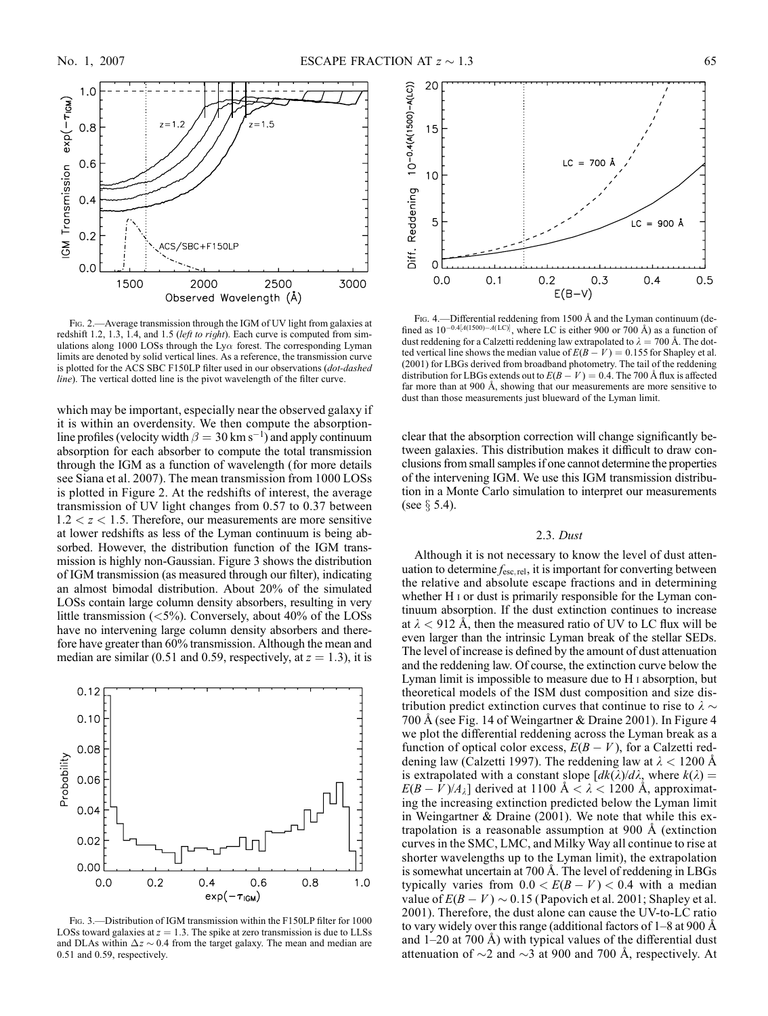

Fig. 2.—Average transmission through the IGM of UV light from galaxies at redshift 1.2, 1.3, 1.4, and 1.5 (left to right). Each curve is computed from simulations along 1000 LOSs through the Ly $\alpha$  forest. The corresponding Lyman limits are denoted by solid vertical lines. As a reference, the transmission curve is plotted for the ACS SBC F150LP filter used in our observations (dot-dashed line). The vertical dotted line is the pivot wavelength of the filter curve.

which may be important, especially near the observed galaxy if it is within an overdensity. We then compute the absorptionline profiles (velocity width  $\beta = 30$  km s<sup>-1</sup>) and apply continuum absorption for each absorber to compute the total transmission through the IGM as a function of wavelength (for more details see Siana et al. 2007). The mean transmission from 1000 LOSs is plotted in Figure 2. At the redshifts of interest, the average transmission of UV light changes from 0.57 to 0.37 between  $1.2 < z < 1.5$ . Therefore, our measurements are more sensitive at lower redshifts as less of the Lyman continuum is being absorbed. However, the distribution function of the IGM transmission is highly non-Gaussian. Figure 3 shows the distribution of IGM transmission (as measured through our filter), indicating an almost bimodal distribution. About 20% of the simulated LOSs contain large column density absorbers, resulting in very little transmission  $(<5\%)$ . Conversely, about 40% of the LOSs have no intervening large column density absorbers and therefore have greater than 60% transmission. Although the mean and median are similar (0.51 and 0.59, respectively, at  $z = 1.3$ ), it is



FIG. 3.—Distribution of IGM transmission within the F150LP filter for 1000 LOSs toward galaxies at  $z = 1.3$ . The spike at zero transmission is due to LLSs and DLAs within  $\Delta z \sim 0.4$  from the target galaxy. The mean and median are 0.51 and 0.59, respectively.



FIG. 4.—Differential reddening from 1500 Å and the Lyman continuum (defined as  $10^{-0.4[A(1500)-A(LC)]}$ , where LC is either 900 or 700 Å) as a function of dust reddening for a Calzetti reddening law extrapolated to  $\lambda = 700$  Å. The dotted vertical line shows the median value of  $E(B - V) = 0.155$  for Shapley et al. (2001) for LBGs derived from broadband photometry. The tail of the reddening distribution for LBGs extends out to  $E(B - V) = 0.4$ . The 700 Å flux is affected far more than at 900  $\AA$ , showing that our measurements are more sensitive to dust than those measurements just blueward of the Lyman limit.

clear that the absorption correction will change significantly between galaxies. This distribution makes it difficult to draw conclusions from small samples if one cannot determine the properties of the intervening IGM. We use this IGM transmission distribution in a Monte Carlo simulation to interpret our measurements (see  $\S$  5.4).

# 2.3. Dust

Although it is not necessary to know the level of dust attenuation to determine  $f_{\text{esc, rel}}$ , it is important for converting between the relative and absolute escape fractions and in determining whether H<sub>I</sub> or dust is primarily responsible for the Lyman continuum absorption. If the dust extinction continues to increase at  $\lambda$  < 912 Å, then the measured ratio of UV to LC flux will be even larger than the intrinsic Lyman break of the stellar SEDs. The level of increase is defined by the amount of dust attenuation and the reddening law. Of course, the extinction curve below the Lyman limit is impossible to measure due to H i absorption, but theoretical models of the ISM dust composition and size distribution predict extinction curves that continue to rise to  $\lambda \sim$ 700 Å (see Fig. 14 of Weingartner & Draine 2001). In Figure 4 we plot the differential reddening across the Lyman break as a function of optical color excess,  $E(B - V)$ , for a Calzetti reddening law (Calzetti 1997). The reddening law at  $\lambda$  < 1200 Å is extrapolated with a constant slope  $\left[dk(\lambda)/d\lambda\right]$ , where  $k(\lambda) =$  $E(B-V)/A_{\lambda}$ ] derived at 1100 Å <  $\lambda$  < 1200 Å, approximating the increasing extinction predicted below the Lyman limit in Weingartner & Draine (2001). We note that while this extrapolation is a reasonable assumption at  $900 \text{ Å}$  (extinction curves in the SMC, LMC, and Milky Way all continue to rise at shorter wavelengths up to the Lyman limit), the extrapolation is somewhat uncertain at 700 Å. The level of reddening in LBGs typically varies from  $0.0 < E(B - V) < 0.4$  with a median value of  $E(B - V) \sim 0.15$  (Papovich et al. 2001; Shapley et al. 2001). Therefore, the dust alone can cause the UV-to-LC ratio to vary widely over this range (additional factors of  $1-8$  at 900 Å and  $1-20$  at 700 Å) with typical values of the differential dust attenuation of  $\sim$ 2 and  $\sim$ 3 at 900 and 700 Å, respectively. At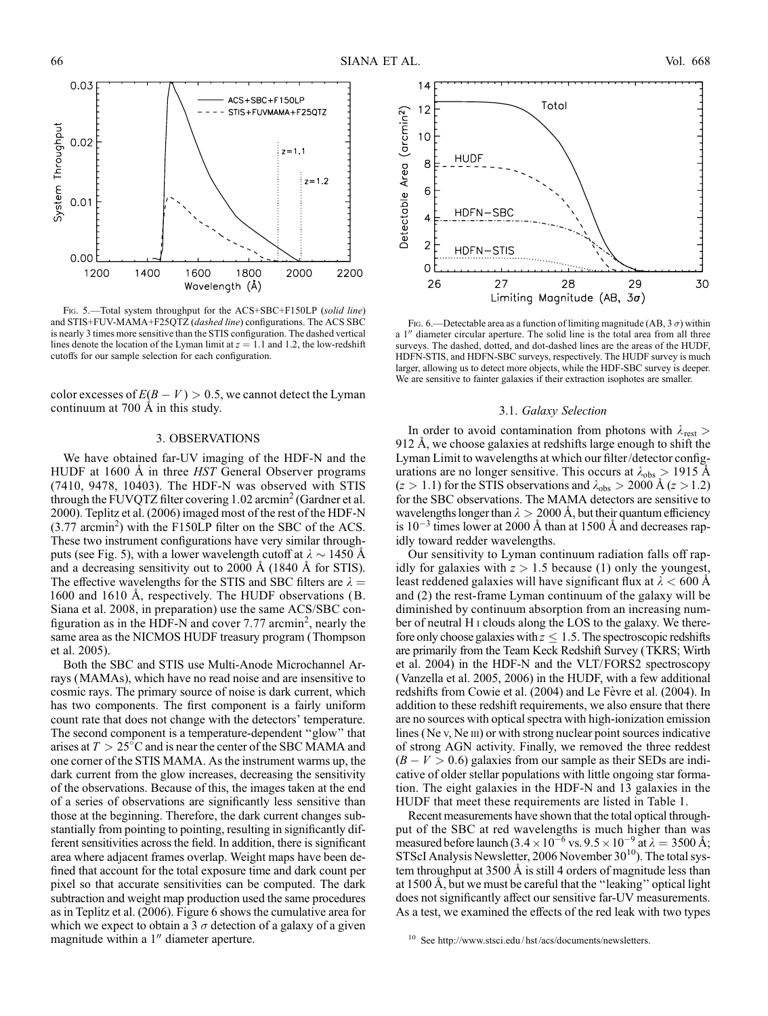

FIG. 5.-Total system throughput for the ACS+SBC+F150LP (solid line) and STIS+FUV-MAMA+F25QTZ (dashed line) configurations. The ACS SBC is nearly 3 times more sensitive than the STIS configuration. The dashed vertical lines denote the location of the Lyman limit at  $z = 1.1$  and 1.2, the low-redshift cutoffs for our sample selection for each configuration.

color excesses of  $E(B - V) > 0.5$ , we cannot detect the Lyman continuum at  $700 \text{ Å}$  in this study.

# 3. OBSERVATIONS

We have obtained far-UV imaging of the HDF-N and the HUDF at 1600 Å in three HST General Observer programs (7410, 9478, 10403). The HDF-N was observed with STIS through the FUVQTZ filter covering  $1.02$  arcmin<sup>2</sup> (Gardner et al. 2000). Teplitz et al. (2006) imaged most of the rest of the HDF-N  $(3.77 \text{ arcmin}^2)$  with the F150LP filter on the SBC of the ACS. These two instrument configurations have very similar throughputs (see Fig. 5), with a lower wavelength cutoff at  $\lambda \sim 1450$  Å and a decreasing sensitivity out to  $2000 \text{ Å}$  (1840 Å for STIS). The effective wavelengths for the STIS and SBC filters are  $\lambda =$ 1600 and 1610 Å, respectively. The HUDF observations (B. Siana et al. 2008, in preparation) use the same ACS/SBC configuration as in the HDF-N and cover  $7.77$  arcmin<sup>2</sup>, nearly the same area as the NICMOS HUDF treasury program (Thompson et al. 2005).

Both the SBC and STIS use Multi-Anode Microchannel Arrays (MAMAs), which have no read noise and are insensitive to cosmic rays. The primary source of noise is dark current, which has two components. The first component is a fairly uniform count rate that does not change with the detectors' temperature. The second component is a temperature-dependent ''glow'' that arises at  $T > 25^{\circ}$ C and is near the center of the SBC MAMA and one corner of the STIS MAMA. As the instrument warms up, the dark current from the glow increases, decreasing the sensitivity of the observations. Because of this, the images taken at the end of a series of observations are significantly less sensitive than those at the beginning. Therefore, the dark current changes substantially from pointing to pointing, resulting in significantly different sensitivities across the field. In addition, there is significant area where adjacent frames overlap. Weight maps have been defined that account for the total exposure time and dark count per pixel so that accurate sensitivities can be computed. The dark subtraction and weight map production used the same procedures as in Teplitz et al. (2006). Figure 6 shows the cumulative area for which we expect to obtain a 3  $\sigma$  detection of a galaxy of a given magnitude within a  $1''$  diameter aperture.



Fig. 6.—Detectable area as a function of limiting magnitude (AB, 3  $\sigma$ ) within a 1" diameter circular aperture. The solid line is the total area from all three surveys. The dashed, dotted, and dot-dashed lines are the areas of the HUDF, HDFN-STIS, and HDFN-SBC surveys, respectively. The HUDF survey is much larger, allowing us to detect more objects, while the HDF-SBC survey is deeper. We are sensitive to fainter galaxies if their extraction isophotes are smaller.

#### 3.1. Galaxy Selection

In order to avoid contamination from photons with  $\lambda_{\text{rest}} >$ 912 Å, we choose galaxies at redshifts large enough to shift the Lyman Limit to wavelengths at which our filter/detector configurations are no longer sensitive. This occurs at  $\lambda_{obs} > 1915 \text{ Å}$  $(z > 1.1)$  for the STIS observations and  $\lambda_{obs} > 2000 \text{ Å } (z > 1.2)$ for the SBC observations. The MAMA detectors are sensitive to wavelengths longer than  $\lambda > 2000$  Å, but their quantum efficiency is  $10^{-3}$  times lower at 2000 Å than at 1500 Å and decreases rapidly toward redder wavelengths.

Our sensitivity to Lyman continuum radiation falls off rapidly for galaxies with  $z > 1.5$  because (1) only the youngest, least reddened galaxies will have significant flux at  $\lambda < 600$  Å and (2) the rest-frame Lyman continuum of the galaxy will be diminished by continuum absorption from an increasing number of neutral H i clouds along the LOS to the galaxy. We therefore only choose galaxies with  $z \leq 1.5$ . The spectroscopic redshifts are primarily from the Team Keck Redshift Survey (TKRS; Wirth et al. 2004) in the HDF-N and the VLT/FORS2 spectroscopy (Vanzella et al. 2005, 2006) in the HUDF, with a few additional redshifts from Cowie et al. (2004) and Le Fèvre et al. (2004). In addition to these redshift requirements, we also ensure that there are no sources with optical spectra with high-ionization emission lines (Ne v, Ne III) or with strong nuclear point sources indicative of strong AGN activity. Finally, we removed the three reddest  $(B - V > 0.6)$  galaxies from our sample as their SEDs are indicative of older stellar populations with little ongoing star formation. The eight galaxies in the HDF-N and 13 galaxies in the HUDF that meet these requirements are listed in Table 1.

Recent measurements have shown that the total optical throughput of the SBC at red wavelengths is much higher than was measured before launch  $(3.4 \times 10^{-6} \text{ vs. } 9.5 \times 10^{-9} \text{ at } \lambda = 3500 \text{ Å};$ STScI Analysis Newsletter, 2006 November  $30^{10}$ ). The total system throughput at  $3500 \text{ Å}$  is still 4 orders of magnitude less than at 1500 Å, but we must be careful that the "leaking" optical light does not significantly affect our sensitive far-UV measurements. As a test, we examined the effects of the red leak with two types

<sup>10</sup> See http://www.stsci.edu/ hst/acs/documents/newsletters.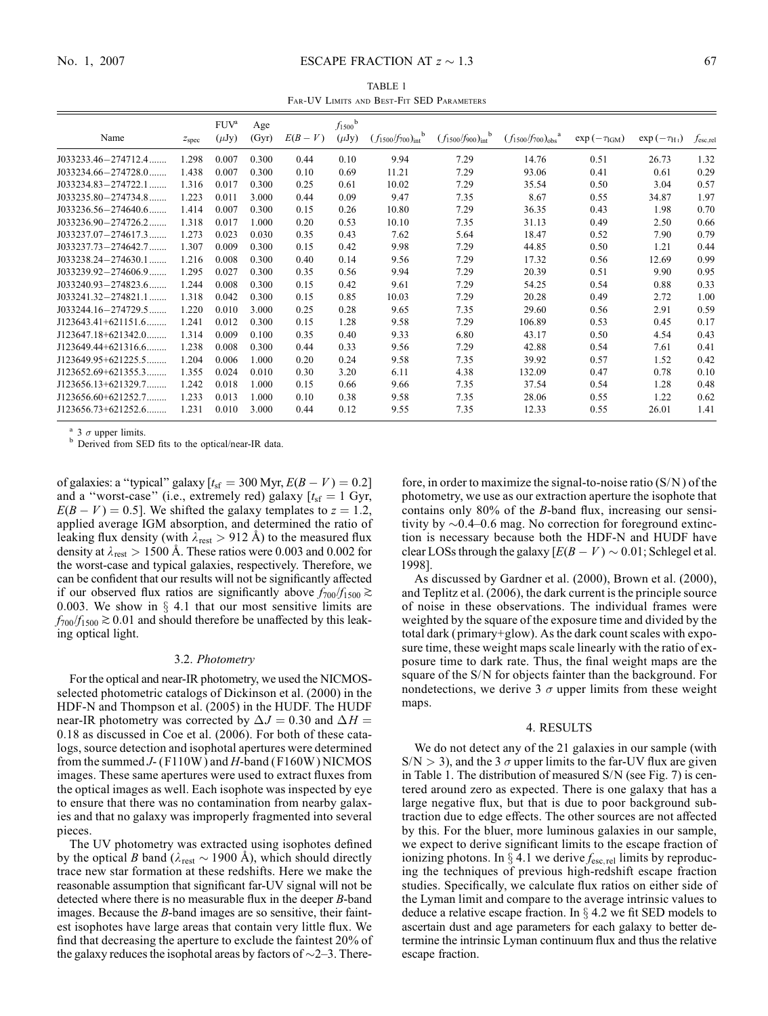# No. 1, 2007 **ESCAPE FRACTION AT**  $z \sim 1.3$  67

TABLE 1 Far-UV Limits and Best-Fit SED Parameters

| Name                       | z <sub>spec</sub> | $FUV^a$<br>$(\mu Jy)$ | Age<br>(Gyr) | $E(B-V)$ | $f_{1500}$ <sup>b</sup><br>$(\mu Jy)$ | $(f_{1500}/f_{700})_{int}^{b}$ | $(f_{1500}/f_{900})_{int}^{b}$ | $(f_{1500}/f_{700})_{obs}$ <sup>a</sup> | $\exp(-\tau_{\text{IGM}})$ | $\exp(-\tau_{\rm H_1})$ | $f_{\rm esc, rel}$ |
|----------------------------|-------------------|-----------------------|--------------|----------|---------------------------------------|--------------------------------|--------------------------------|-----------------------------------------|----------------------------|-------------------------|--------------------|
| $J033233.46 - 274712.4$    | 1.298             | 0.007                 | 0.300        | 0.44     | 0.10                                  | 9.94                           | 7.29                           | 14.76                                   | 0.51                       | 26.73                   | 1.32               |
| $J033234.66 - 274728.0$    | 1.438             | 0.007                 | 0.300        | 0.10     | 0.69                                  | 11.21                          | 7.29                           | 93.06                                   | 0.41                       | 0.61                    | 0.29               |
| $J033234.83 - 274722.1$    | 1.316             | 0.017                 | 0.300        | 0.25     | 0.61                                  | 10.02                          | 7.29                           | 35.54                                   | 0.50                       | 3.04                    | 0.57               |
| $J033235.80 - 274734.8$    | 1.223             | 0.011                 | 3.000        | 0.44     | 0.09                                  | 9.47                           | 7.35                           | 8.67                                    | 0.55                       | 34.87                   | 1.97               |
| $J033236.56 - 274640.6$    | 1.414             | 0.007                 | 0.300        | 0.15     | 0.26                                  | 10.80                          | 7.29                           | 36.35                                   | 0.43                       | 1.98                    | 0.70               |
| $J033236.90 - 274726.2$    | 1.318             | 0.017                 | 1.000        | 0.20     | 0.53                                  | 10.10                          | 7.35                           | 31.13                                   | 0.49                       | 2.50                    | 0.66               |
| $J033237.07 - 274617.3$    | 1.273             | 0.023                 | 0.030        | 0.35     | 0.43                                  | 7.62                           | 5.64                           | 18.47                                   | 0.52                       | 7.90                    | 0.79               |
| $J033237.73 - 274642.7$    | 1.307             | 0.009                 | 0.300        | 0.15     | 0.42                                  | 9.98                           | 7.29                           | 44.85                                   | 0.50                       | 1.21                    | 0.44               |
| $J033238.24 - 274630.1$    | 1.216             | 0.008                 | 0.300        | 0.40     | 0.14                                  | 9.56                           | 7.29                           | 17.32                                   | 0.56                       | 12.69                   | 0.99               |
| $J033239.92 - 274606.9$    | 1.295             | 0.027                 | 0.300        | 0.35     | 0.56                                  | 9.94                           | 7.29                           | 20.39                                   | 0.51                       | 9.90                    | 0.95               |
| $J033240.93 - 274823.6$    | 1.244             | 0.008                 | 0.300        | 0.15     | 0.42                                  | 9.61                           | 7.29                           | 54.25                                   | 0.54                       | 0.88                    | 0.33               |
| $J033241.32 - 274821.1$    | 1.318             | 0.042                 | 0.300        | 0.15     | 0.85                                  | 10.03                          | 7.29                           | 20.28                                   | 0.49                       | 2.72                    | 1.00               |
| $J033244.16 - 274729.5$    | 1.220             | 0.010                 | 3.000        | 0.25     | 0.28                                  | 9.65                           | 7.35                           | 29.60                                   | 0.56                       | 2.91                    | 0.59               |
| $J123643.41+621151.6$      | 1.241             | 0.012                 | 0.300        | 0.15     | 1.28                                  | 9.58                           | 7.29                           | 106.89                                  | 0.53                       | 0.45                    | 0.17               |
| $J123647.18+621342.0$      | 1.314             | 0.009                 | 0.100        | 0.35     | 0.40                                  | 9.33                           | 6.80                           | 43.17                                   | 0.50                       | 4.54                    | 0.43               |
| $J123649.44 + 621316.6$    | 1.238             | 0.008                 | 0.300        | 0.44     | 0.33                                  | 9.56                           | 7.29                           | 42.88                                   | 0.54                       | 7.61                    | 0.41               |
| $J123649.95 + 621225.5$    | 1.204             | 0.006                 | 1.000        | 0.20     | 0.24                                  | 9.58                           | 7.35                           | 39.92                                   | 0.57                       | 1.52                    | 0.42               |
| J123652.69+621355.3        | 1.355             | 0.024                 | 0.010        | 0.30     | 3.20                                  | 6.11                           | 4.38                           | 132.09                                  | 0.47                       | 0.78                    | 0.10               |
| $J123656.13+621329.7\dots$ | 1.242             | 0.018                 | 1.000        | 0.15     | 0.66                                  | 9.66                           | 7.35                           | 37.54                                   | 0.54                       | 1.28                    | 0.48               |
| $J123656.60 + 621252.7$    | 1.233             | 0.013                 | 1.000        | 0.10     | 0.38                                  | 9.58                           | 7.35                           | 28.06                                   | 0.55                       | 1.22                    | 0.62               |
| $J123656.73+621252.6$      | 1.231             | 0.010                 | 3.000        | 0.44     | 0.12                                  | 9.55                           | 7.35                           | 12.33                                   | 0.55                       | 26.01                   | 1.41               |

<sup>a</sup> 3  $\sigma$  upper limits.<br><sup>b</sup> Derived from SED fits to the optical/near-IR data.

of galaxies: a "typical" galaxy  $[t<sub>sf</sub> = 300$  Myr,  $E(B - V) = 0.2]$ and a "worst-case" (i.e., extremely red) galaxy  $[t_{\rm sf} = 1 \text{ Gyr},$  $E(B - V) = 0.5$ . We shifted the galaxy templates to  $z = 1.2$ , applied average IGM absorption, and determined the ratio of leaking flux density (with  $\lambda_{\text{rest}} > 912$  Å) to the measured flux density at  $\lambda_{rest} > 1500$  Å. These ratios were 0.003 and 0.002 for the worst-case and typical galaxies, respectively. Therefore, we can be confident that our results will not be significantly affected if our observed flux ratios are significantly above  $f_{700}/f_{1500} \gtrsim$ 0.003. We show in  $\S$  4.1 that our most sensitive limits are  $f_{700}/f_{1500} \gtrsim 0.01$  and should therefore be unaffected by this leaking optical light.

#### 3.2. Photometry

For the optical and near-IR photometry, we used the NICMOSselected photometric catalogs of Dickinson et al. (2000) in the HDF-N and Thompson et al. (2005) in the HUDF. The HUDF near-IR photometry was corrected by  $\Delta J = 0.30$  and  $\Delta H =$ 0:18 as discussed in Coe et al. (2006). For both of these catalogs, source detection and isophotal apertures were determined from the summed  $J$ - (F110W) and  $H$ -band (F160W) NICMOS images. These same apertures were used to extract fluxes from the optical images as well. Each isophote was inspected by eye to ensure that there was no contamination from nearby galaxies and that no galaxy was improperly fragmented into several pieces.

The UV photometry was extracted using isophotes defined by the optical B band ( $\lambda_{rest} \sim 1900 \text{ Å}$ ), which should directly trace new star formation at these redshifts. Here we make the reasonable assumption that significant far-UV signal will not be detected where there is no measurable flux in the deeper B-band images. Because the *B*-band images are so sensitive, their faintest isophotes have large areas that contain very little flux. We find that decreasing the aperture to exclude the faintest 20% of the galaxy reduces the isophotal areas by factors of  $\sim$ 2 $-3$ . Therefore, in order to maximize the signal-to-noise ratio  $(S/N)$  of the photometry, we use as our extraction aperture the isophote that contains only 80% of the B-band flux, increasing our sensitivity by  $\sim 0.4-0.6$  mag. No correction for foreground extinction is necessary because both the HDF-N and HUDF have clear LOSs through the galaxy  $[E(B - V) \sim 0.01]$ ; Schlegel et al. 1998].

As discussed by Gardner et al. (2000), Brown et al. (2000), and Teplitz et al. (2006), the dark current is the principle source of noise in these observations. The individual frames were weighted by the square of the exposure time and divided by the total dark (primary+glow). As the dark count scales with exposure time, these weight maps scale linearly with the ratio of exposure time to dark rate. Thus, the final weight maps are the square of the S/N for objects fainter than the background. For nondetections, we derive 3  $\sigma$  upper limits from these weight maps.

## 4. RESULTS

We do not detect any of the 21 galaxies in our sample (with  $S/N > 3$ , and the 3  $\sigma$  upper limits to the far-UV flux are given in Table 1. The distribution of measured S/N (see Fig. 7) is centered around zero as expected. There is one galaxy that has a large negative flux, but that is due to poor background subtraction due to edge effects. The other sources are not affected by this. For the bluer, more luminous galaxies in our sample, we expect to derive significant limits to the escape fraction of ionizing photons. In  $\S 4.1$  we derive  $f_{\text{esc,rel}}$  limits by reproducing the techniques of previous high-redshift escape fraction studies. Specifically, we calculate flux ratios on either side of the Lyman limit and compare to the average intrinsic values to deduce a relative escape fraction. In  $\S$  4.2 we fit SED models to ascertain dust and age parameters for each galaxy to better determine the intrinsic Lyman continuum flux and thus the relative escape fraction.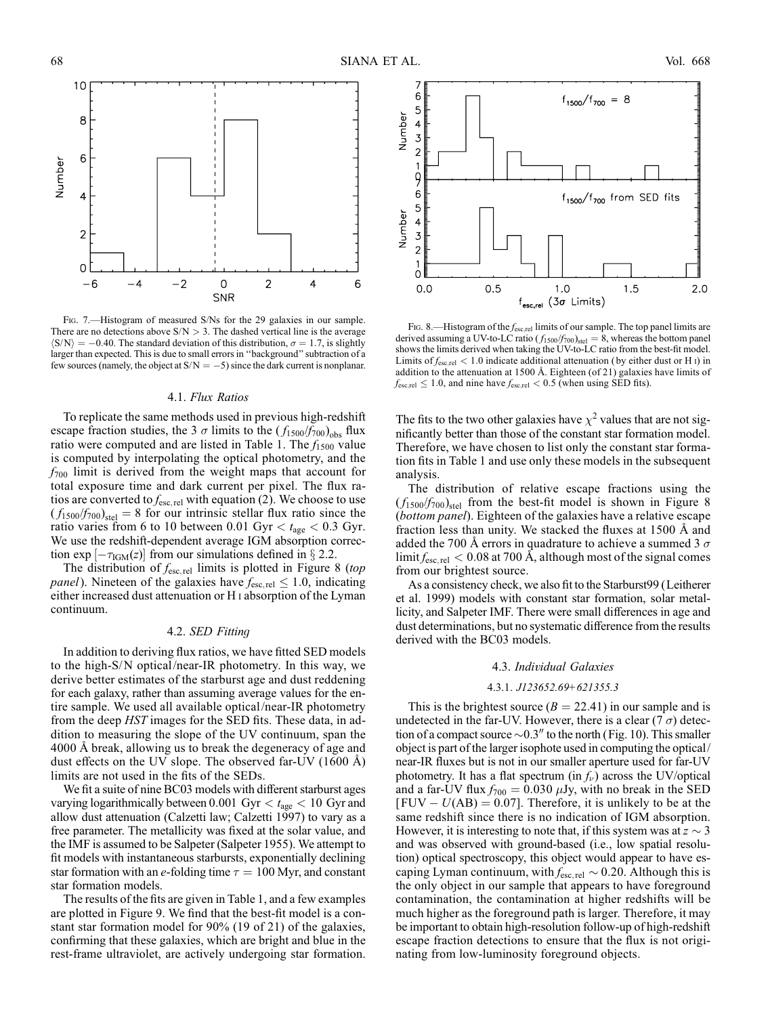

FIG. 7.—Histogram of measured S/Ns for the 29 galaxies in our sample. There are no detections above  $S/N > 3$ . The dashed vertical line is the average  $\langle S/N \rangle = -0.40$ . The standard deviation of this distribution,  $\sigma = 1.7$ , is slightly larger than expected. This is due to small errors in ''background'' subtraction of a few sources (namely, the object at  $S/N = -5$ ) since the dark current is nonplanar.

## 4.1. Flux Ratios

To replicate the same methods used in previous high-redshift escape fraction studies, the 3  $\sigma$  limits to the ( $f_{1500}/f_{700}$ <sub>obs</sub> flux ratio were computed and are listed in Table 1. The  $f_{1500}$  value is computed by interpolating the optical photometry, and the  $f_{700}$  limit is derived from the weight maps that account for total exposure time and dark current per pixel. The flux ratios are converted to  $f_{\text{esc,rel}}$  with equation (2). We choose to use  $(f_{1500}/f_{700})_{\text{stel}} = 8$  for our intrinsic stellar flux ratio since the ratio varies from 6 to 10 between 0.01 Gyr  $< t<sub>age</sub> < 0.3$  Gyr. We use the redshift-dependent average IGM absorption correction  $\exp[-\tau_{IGM}(z)]$  from our simulations defined in § 2.2.

The distribution of  $f_{\text{esc,rel}}$  limits is plotted in Figure 8 (top *panel*). Nineteen of the galaxies have  $f_{\text{esc,rel}} \leq 1.0$ , indicating either increased dust attenuation or H i absorption of the Lyman continuum.

### 4.2. SED Fitting

In addition to deriving flux ratios, we have fitted SED models to the high-S/N optical/near-IR photometry. In this way, we derive better estimates of the starburst age and dust reddening for each galaxy, rather than assuming average values for the entire sample. We used all available optical/near-IR photometry from the deep HST images for the SED fits. These data, in addition to measuring the slope of the UV continuum, span the 4000 Å break, allowing us to break the degeneracy of age and dust effects on the UV slope. The observed far-UV  $(1600 \text{ Å})$ limits are not used in the fits of the SEDs.

We fit a suite of nine BC03 models with different starburst ages varying logarithmically between 0.001 Gyr  $< t<sub>age</sub> < 10$  Gyr and allow dust attenuation (Calzetti law; Calzetti 1997) to vary as a free parameter. The metallicity was fixed at the solar value, and the IMF is assumed to be Salpeter (Salpeter 1955). We attempt to fit models with instantaneous starbursts, exponentially declining star formation with an e-folding time  $\tau = 100$  Myr, and constant star formation models.

The results of the fits are given in Table 1, and a few examples are plotted in Figure 9. We find that the best-fit model is a constant star formation model for 90% (19 of 21) of the galaxies, confirming that these galaxies, which are bright and blue in the rest-frame ultraviolet, are actively undergoing star formation.



Fig. 8.—Histogram of the  $f_{\text{esc,rel}}$  limits of our sample. The top panel limits are derived assuming a UV-to-LC ratio ( $f_{1500}/f_{700}$ <sub>stel</sub> = 8, whereas the bottom panel<br>shows the limits derived when taking the UV-to-LC ratio from the best-fit model. Limits of  $f_{\rm esc,rel}$  < 1.0 indicate additional attenuation (by either dust or H<sub>1</sub>) in addition to the attenuation at 1500 Å. Eighteen (of 21) galaxies have limits of  $f_{\rm esc,rel} \leq 1.0$ , and nine have  $f_{\rm esc,rel} < 0.5$  (when using SED fits).

The fits to the two other galaxies have  $\chi^2$  values that are not significantly better than those of the constant star formation model. Therefore, we have chosen to list only the constant star formation fits in Table 1 and use only these models in the subsequent analysis.

The distribution of relative escape fractions using the  $(f_{1500}/f_{700})_{\text{stel}}$  from the best-fit model is shown in Figure 8 (bottom panel). Eighteen of the galaxies have a relative escape fraction less than unity. We stacked the fluxes at  $1500 \text{ Å}$  and added the 700 Å errors in quadrature to achieve a summed 3  $\sigma$  $\lim_{\text{time}}$  if  $f_{\text{esc,rel}}$  < 0.08 at 700 Å, although most of the signal comes from our brightest source.

As a consistency check, we also fit to the Starburst99 (Leitherer et al. 1999) models with constant star formation, solar metallicity, and Salpeter IMF. There were small differences in age and dust determinations, but no systematic difference from the results derived with the BC03 models.

# 4.3. Individual Galaxies

### 4.3.1. J123652.69+621355.3

This is the brightest source  $(B = 22.41)$  in our sample and is undetected in the far-UV. However, there is a clear (7  $\sigma$ ) detection of a compact source  $\sim 0.3$ <sup>"</sup> to the north (Fig. 10). This smaller object is part of the larger isophote used in computing the optical/ near-IR fluxes but is not in our smaller aperture used for far-UV photometry. It has a flat spectrum (in  $f_{\nu}$ ) across the UV/optical and a far-UV flux  $f_{700} = 0.030 \mu Jy$ , with no break in the SED  $[FUV - U(AB) = 0.07]$ . Therefore, it is unlikely to be at the same redshift since there is no indication of IGM absorption. However, it is interesting to note that, if this system was at  $z \sim 3$ and was observed with ground-based (i.e., low spatial resolution) optical spectroscopy, this object would appear to have escaping Lyman continuum, with  $f_{\text{esc, rel}} \sim 0.20$ . Although this is the only object in our sample that appears to have foreground contamination, the contamination at higher redshifts will be much higher as the foreground path is larger. Therefore, it may be important to obtain high-resolution follow-up of high-redshift escape fraction detections to ensure that the flux is not originating from low-luminosity foreground objects.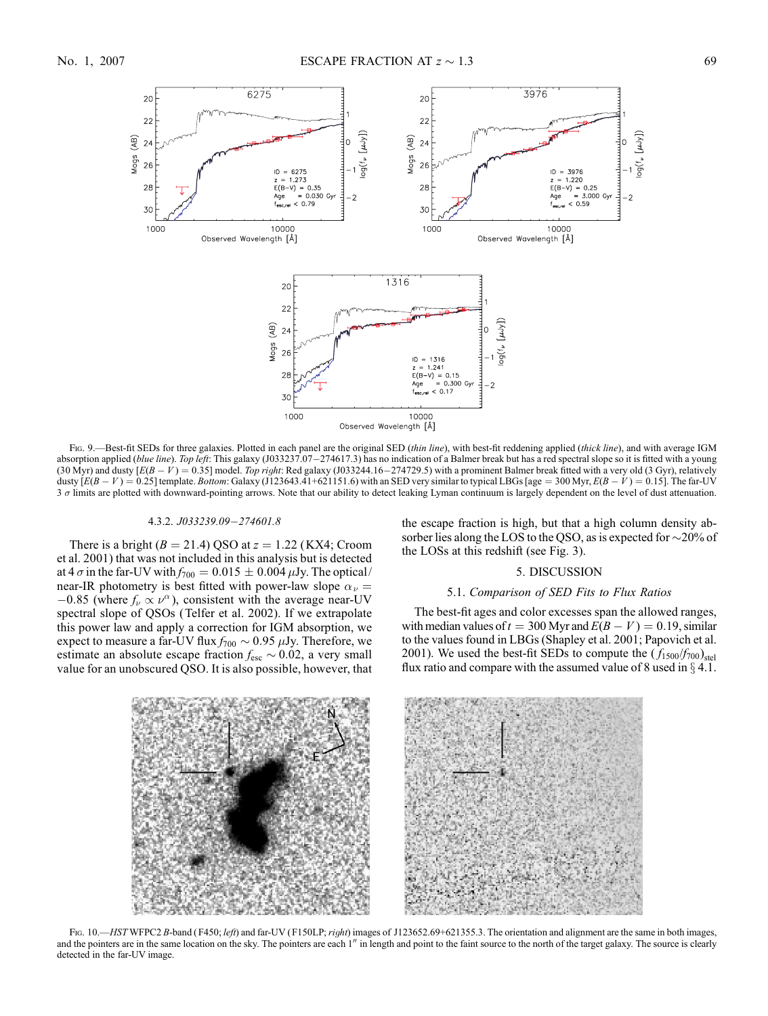

Fig. 9.—Best-fit SEDs for three galaxies. Plotted in each panel are the original SED (thin line), with best-fit reddening applied (thick line), and with average IGM absorption applied (blue line). Top left: This galaxy (J033237.07-274617.3) has no indication of a Balmer break but has a red spectral slope so it is fitted with a young (30 Myr) and dusty  $[E(B - V) = 0.35]$  model. Top right: Red galaxy (J033244.16-274729.5) with a prominent Balmer break fitted with a very old (3 Gyr), relatively dusty  $[E(B-V) = 0.25]$  template. Bottom: Galaxy (J123643.41+621151.6) with an SED very similar to typical LBGs [age = 300 Myr,  $E(B-V) = 0.15$ ]. The far-UV 3  $\sigma$  limits are plotted with downward-pointing arrows. Note that our ability to detect leaking Lyman continuum is largely dependent on the level of dust attenuation.

#### 4.3.2. J033239.09-274601.8

There is a bright ( $B = 21.4$ ) QSO at  $z = 1.22$  (KX4; Croom et al. 2001) that was not included in this analysis but is detected at 4  $\sigma$  in the far-UV with  $f_{700} = 0.015 \pm 0.004 \,\mu$ Jy. The optical/ near-IR photometry is best fitted with power-law slope  $\alpha_{\nu} =$  $-0.85$  (where  $f_\nu \propto \nu^\alpha$ ), consistent with the average near-UV spectral slope of QSOs (Telfer et al. 2002). If we extrapolate this power law and apply a correction for IGM absorption, we expect to measure a far-UV flux  $f_{700} \sim 0.95 \mu$ Jy. Therefore, we estimate an absolute escape fraction  $f_{\text{esc}} \sim 0.02$ , a very small value for an unobscured QSO. It is also possible, however, that the escape fraction is high, but that a high column density absorber lies along the LOS to the QSO, as is expected for  $\sim$ 20% of the LOSs at this redshift (see Fig. 3).

# 5. DISCUSSION

# 5.1. Comparison of SED Fits to Flux Ratios

The best-fit ages and color excesses span the allowed ranges, with median values of  $t = 300$  Myr and  $E(B - V) = 0.19$ , similar to the values found in LBGs (Shapley et al. 2001; Papovich et al. 2001). We used the best-fit SEDs to compute the  $(f_{1500}/f_{700})_{\text{stel}}$ flux ratio and compare with the assumed value of 8 used in  $\S 4.1$ .



FIG. 10.—HST WFPC2 B-band (F450; left) and far-UV (F150LP; right) images of J123652.69+621355.3. The orientation and alignment are the same in both images, and the pointers are in the same location on the sky. The pointers are each 1" in length and point to the faint source to the north of the target galaxy. The source is clearly detected in the far-UV image.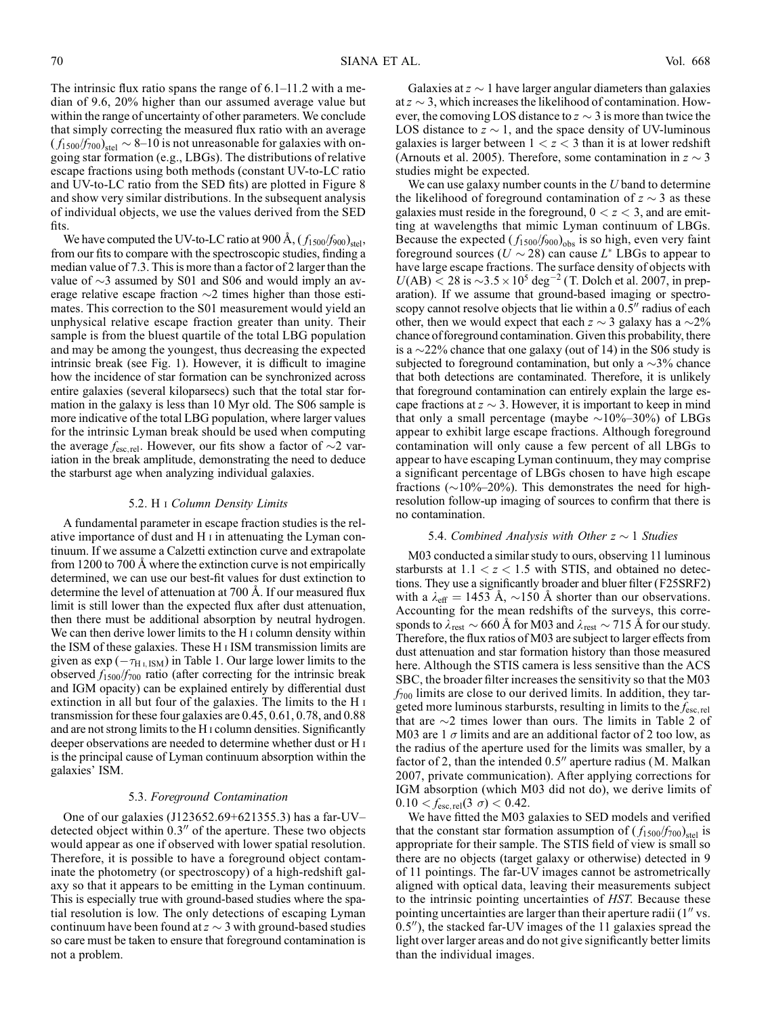The intrinsic flux ratio spans the range of  $6.1-11.2$  with a median of 9.6, 20% higher than our assumed average value but within the range of uncertainty of other parameters. We conclude that simply correcting the measured flux ratio with an average  $(f_{1500}/f_{700})_{\text{stel}} \sim 8-10$  is not unreasonable for galaxies with ongoing star formation (e.g., LBGs). The distributions of relative escape fractions using both methods (constant UV-to-LC ratio and UV-to-LC ratio from the SED fits) are plotted in Figure 8 and show very similar distributions. In the subsequent analysis of individual objects, we use the values derived from the SED fits.

We have computed the UV-to-LC ratio at 900 Å,  $(f_{1500}/f_{900})_{\text{stel}}$ , from our fits to compare with the spectroscopic studies, finding a median value of 7.3. This is more than a factor of 2 larger than the value of  $\sim$ 3 assumed by S01 and S06 and would imply an average relative escape fraction  $\sim$ 2 times higher than those estimates. This correction to the S01 measurement would yield an unphysical relative escape fraction greater than unity. Their sample is from the bluest quartile of the total LBG population and may be among the youngest, thus decreasing the expected intrinsic break (see Fig. 1). However, it is difficult to imagine how the incidence of star formation can be synchronized across entire galaxies (several kiloparsecs) such that the total star formation in the galaxy is less than 10 Myr old. The S06 sample is more indicative of the total LBG population, where larger values for the intrinsic Lyman break should be used when computing the average  $f_{\text{esc, rel}}$ . However, our fits show a factor of  $\sim$ 2 variation in the break amplitude, demonstrating the need to deduce the starburst age when analyzing individual galaxies.

### 5.2. H i Column Density Limits

A fundamental parameter in escape fraction studies is the relative importance of dust and H i in attenuating the Lyman continuum. If we assume a Calzetti extinction curve and extrapolate from 1200 to 700 Å where the extinction curve is not empirically determined, we can use our best-fit values for dust extinction to determine the level of attenuation at 700 Å. If our measured flux limit is still lower than the expected flux after dust attenuation, then there must be additional absorption by neutral hydrogen. We can then derive lower limits to the H<sub>I</sub> column density within the ISM of these galaxies. These H i ISM transmission limits are given as  $\exp(-\tau_{\text{H I,ISM}})$  in Table 1. Our large lower limits to the observed  $f_{1500}/f_{700}$  ratio (after correcting for the intrinsic break and IGM opacity) can be explained entirely by differential dust extinction in all but four of the galaxies. The limits to the H i transmission for these four galaxies are 0.45, 0.61, 0.78, and 0.88 and are not strong limits to the H i column densities. Significantly deeper observations are needed to determine whether dust or H i is the principal cause of Lyman continuum absorption within the galaxies' ISM.

## 5.3. Foreground Contamination

One of our galaxies  $(J123652.69 + 621355.3)$  has a far-UVdetected object within  $0.3$ " of the aperture. These two objects would appear as one if observed with lower spatial resolution. Therefore, it is possible to have a foreground object contaminate the photometry (or spectroscopy) of a high-redshift galaxy so that it appears to be emitting in the Lyman continuum. This is especially true with ground-based studies where the spatial resolution is low. The only detections of escaping Lyman continuum have been found at  $z \sim 3$  with ground-based studies so care must be taken to ensure that foreground contamination is not a problem.

Galaxies at  $z \sim 1$  have larger angular diameters than galaxies at  $z \sim 3$ , which increases the likelihood of contamination. However, the comoving LOS distance to  $z \sim 3$  is more than twice the LOS distance to  $z \sim 1$ , and the space density of UV-luminous galaxies is larger between  $1 < z < 3$  than it is at lower redshift (Arnouts et al. 2005). Therefore, some contamination in  $z \sim 3$ studies might be expected.

We can use galaxy number counts in the  $U$  band to determine the likelihood of foreground contamination of  $z \sim 3$  as these galaxies must reside in the foreground,  $0 < z < 3$ , and are emitting at wavelengths that mimic Lyman continuum of LBGs. Because the expected  $(f_{1500}/f_{900})_{\text{obs}}$  is so high, even very faint foreground sources ( $U \sim 28$ ) can cause  $L^*$  LBGs to appear to have large escape fractions. The surface density of objects with  $U(AB) < 28$  is  $\sim 3.5 \times 10^5$  deg<sup>-2</sup> (T. Dolch et al. 2007, in preparation). If we assume that ground-based imaging or spectroscopy cannot resolve objects that lie within a  $0.5<sup>′</sup>$  radius of each other, then we would expect that each  $z \sim 3$  galaxy has a  $\sim 2\%$ chance of foreground contamination. Given this probability, there is a  $\sim$ 22% chance that one galaxy (out of 14) in the S06 study is subjected to foreground contamination, but only a  $\sim$ 3% chance that both detections are contaminated. Therefore, it is unlikely that foreground contamination can entirely explain the large escape fractions at  $z \sim 3$ . However, it is important to keep in mind that only a small percentage (maybe  $\sim$ 10%-30%) of LBGs appear to exhibit large escape fractions. Although foreground contamination will only cause a few percent of all LBGs to appear to have escaping Lyman continuum, they may comprise a significant percentage of LBGs chosen to have high escape fractions ( $\sim$ 10%-20%). This demonstrates the need for highresolution follow-up imaging of sources to confirm that there is no contamination.

### 5.4. Combined Analysis with Other  $z \sim 1$  Studies

M03 conducted a similar study to ours, observing 11 luminous starbursts at  $1.1 < z < 1.5$  with STIS, and obtained no detections. They use a significantly broader and bluer filter (F25SRF2) with a  $\lambda_{\text{eff}} = 1453$  Å,  $\sim$ 150 Å shorter than our observations. Accounting for the mean redshifts of the surveys, this corresponds to  $\lambda_{rest} \sim 660$  Å for M03 and  $\lambda_{rest} \sim 715$  Å for our study. Therefore, the flux ratios of M03 are subject to larger effects from dust attenuation and star formation history than those measured here. Although the STIS camera is less sensitive than the ACS SBC, the broader filter increases the sensitivity so that the M03  $f_{700}$  limits are close to our derived limits. In addition, they targeted more luminous starbursts, resulting in limits to the  $f_{\rm esc,rel}$ that are  $\sim$ 2 times lower than ours. The limits in Table 2 of M03 are 1  $\sigma$  limits and are an additional factor of 2 too low, as the radius of the aperture used for the limits was smaller, by a factor of 2, than the intended  $0.5$ " aperture radius (M. Malkan 2007, private communication). After applying corrections for IGM absorption (which M03 did not do), we derive limits of  $0.10 < f_{\text{esc, rel}}(3 \sigma) < 0.42$ .

We have fitted the M03 galaxies to SED models and verified that the constant star formation assumption of  $(f_{1500}/f_{700})_{\text{stel}}$  is appropriate for their sample. The STIS field of view is small so there are no objects (target galaxy or otherwise) detected in 9 of 11 pointings. The far-UV images cannot be astrometrically aligned with optical data, leaving their measurements subject to the intrinsic pointing uncertainties of HST. Because these pointing uncertainties are larger than their aperture radii  $(1<sup>′</sup>$  vs.  $0.5$ <sup>n</sup>), the stacked far-UV images of the 11 galaxies spread the light over larger areas and do not give significantly better limits than the individual images.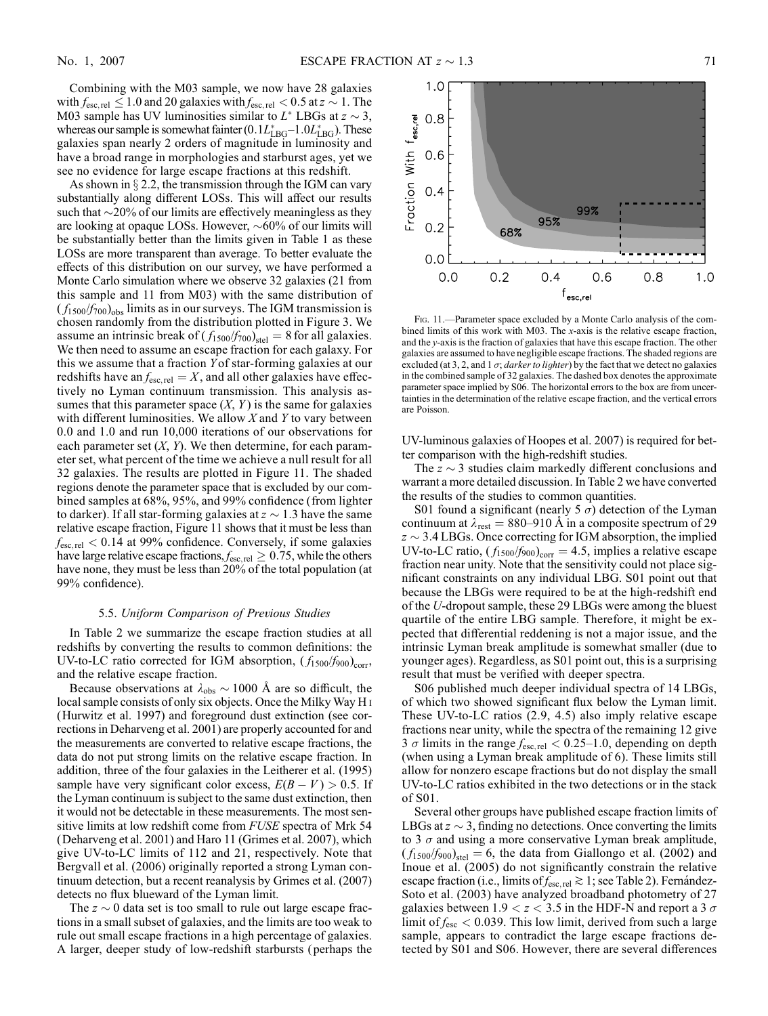Combining with the M03 sample, we now have 28 galaxies with  $f_{\rm esc,rel} \leq 1.0$  and 20 galaxies with  $f_{\rm esc,rel} < 0.5$  at  $z \sim 1$ . The M03 sample has UV luminosities similar to  $L^*$  LBGs at  $z \sim 3$ , whereas our sample is somewhat fainter  $(0.1L_{\text{LBG}}^{*}-1.0L_{\text{LBG}}^{*})$ . These galaxies span nearly 2 orders of magnitude in luminosity and have a broad range in morphologies and starburst ages, yet we see no evidence for large escape fractions at this redshift.

As shown in  $\S 2.2$ , the transmission through the IGM can vary substantially along different LOSs. This will affect our results such that  $\sim$ 20% of our limits are effectively meaningless as they are looking at opaque LOSs. However,  $\sim 60\%$  of our limits will be substantially better than the limits given in Table 1 as these LOSs are more transparent than average. To better evaluate the effects of this distribution on our survey, we have performed a Monte Carlo simulation where we observe 32 galaxies (21 from this sample and 11 from M03) with the same distribution of  $(f_{1500}/f_{700})_{\text{obs}}$  limits as in our surveys. The IGM transmission is chosen randomly from the distribution plotted in Figure 3. We assume an intrinsic break of  $(f_{1500}/f_{700})_{\text{stel}} = 8$  for all galaxies. We then need to assume an escape fraction for each galaxy. For this we assume that a fraction Y of star-forming galaxies at our redshifts have an  $f_{\text{esc,rel}} = X$ , and all other galaxies have effectively no Lyman continuum transmission. This analysis assumes that this parameter space  $(X, Y)$  is the same for galaxies with different luminosities. We allow  $X$  and  $Y$  to vary between 0.0 and 1.0 and run 10,000 iterations of our observations for each parameter set  $(X, Y)$ . We then determine, for each parameter set, what percent of the time we achieve a null result for all 32 galaxies. The results are plotted in Figure 11. The shaded regions denote the parameter space that is excluded by our combined samples at 68%, 95%, and 99% confidence (from lighter to darker). If all star-forming galaxies at  $z \sim 1.3$  have the same relative escape fraction, Figure 11 shows that it must be less than  $f_{\text{esc,rel}} < 0.14$  at 99% confidence. Conversely, if some galaxies have large relative escape fractions,  $f_{\text{esc, rel}} \geq 0.75$ , while the others have none, they must be less than 20% of the total population (at 99% confidence).

### 5.5. Uniform Comparison of Previous Studies

In Table 2 we summarize the escape fraction studies at all redshifts by converting the results to common definitions: the UV-to-LC ratio corrected for IGM absorption,  $(f_{1500}/f_{900})_{\text{corr}}$ , and the relative escape fraction.

Because observations at  $\lambda_{obs} \sim 1000$  Å are so difficult, the local sample consists of only six objects. Once the Milky Way H i (Hurwitz et al. 1997) and foreground dust extinction (see corrections in Deharveng et al. 2001) are properly accounted for and the measurements are converted to relative escape fractions, the data do not put strong limits on the relative escape fraction. In addition, three of the four galaxies in the Leitherer et al. (1995) sample have very significant color excess,  $E(B - V) > 0.5$ . If the Lyman continuum is subject to the same dust extinction, then it would not be detectable in these measurements. The most sensitive limits at low redshift come from FUSE spectra of Mrk 54 (Deharveng et al. 2001) and Haro 11 (Grimes et al. 2007), which give UV-to-LC limits of 112 and 21, respectively. Note that Bergvall et al. (2006) originally reported a strong Lyman continuum detection, but a recent reanalysis by Grimes et al. (2007) detects no flux blueward of the Lyman limit.

The  $z \sim 0$  data set is too small to rule out large escape fractions in a small subset of galaxies, and the limits are too weak to rule out small escape fractions in a high percentage of galaxies. A larger, deeper study of low-redshift starbursts ( perhaps the



Fig. 11.—Parameter space excluded by a Monte Carlo analysis of the combined limits of this work with M03. The x-axis is the relative escape fraction, and the y-axis is the fraction of galaxies that have this escape fraction. The other galaxies are assumed to have negligible escape fractions. The shaded regions are excluded (at 3, 2, and 1  $\sigma$ ; *darker to lighter*) by the fact that we detect no galaxies in the combined sample of 32 galaxies. The dashed box denotes the approximate parameter space implied by S06. The horizontal errors to the box are from uncertainties in the determination of the relative escape fraction, and the vertical errors are Poisson.

UV-luminous galaxies of Hoopes et al. 2007) is required for better comparison with the high-redshift studies.

The  $z \sim 3$  studies claim markedly different conclusions and warrant a more detailed discussion. In Table 2 we have converted the results of the studies to common quantities.

S01 found a significant (nearly 5  $\sigma$ ) detection of the Lyman continuum at  $\lambda_{\text{rest}} = 880{\text -}910 \text{ Å}$  in a composite spectrum of 29  $z \sim 3.4$  LBGs. Once correcting for IGM absorption, the implied UV-to-LC ratio,  $(f_{1500}/f_{900})_{\text{corr}} = 4.5$ , implies a relative escape fraction near unity. Note that the sensitivity could not place significant constraints on any individual LBG. S01 point out that because the LBGs were required to be at the high-redshift end of the U-dropout sample, these 29 LBGs were among the bluest quartile of the entire LBG sample. Therefore, it might be expected that differential reddening is not a major issue, and the intrinsic Lyman break amplitude is somewhat smaller (due to younger ages). Regardless, as S01 point out, this is a surprising result that must be verified with deeper spectra.

S06 published much deeper individual spectra of 14 LBGs, of which two showed significant flux below the Lyman limit. These UV-to-LC ratios (2.9, 4.5) also imply relative escape fractions near unity, while the spectra of the remaining 12 give 3  $\sigma$  limits in the range  $f_{\text{esc,rel}} < 0.25{\text -}1.0$ , depending on depth (when using a Lyman break amplitude of 6). These limits still allow for nonzero escape fractions but do not display the small UV-to-LC ratios exhibited in the two detections or in the stack of S01.

Several other groups have published escape fraction limits of LBGs at  $z \sim 3$ , finding no detections. Once converting the limits to 3  $\sigma$  and using a more conservative Lyman break amplitude,  $(f_{1500}/f_{900})_{\text{stel}} = 6$ , the data from Giallongo et al. (2002) and Inoue et al. (2005) do not significantly constrain the relative escape fraction (i.e., limits of  $f_{\text{esc, rel}} \gtrsim 1$ ; see Table 2). Fernández-Soto et al. (2003) have analyzed broadband photometry of 27 galaxies between  $1.9 < z < 3.5$  in the HDF-N and report a 3  $\sigma$ limit of  $f_{\text{esc}} < 0.039$ . This low limit, derived from such a large sample, appears to contradict the large escape fractions detected by S01 and S06. However, there are several differences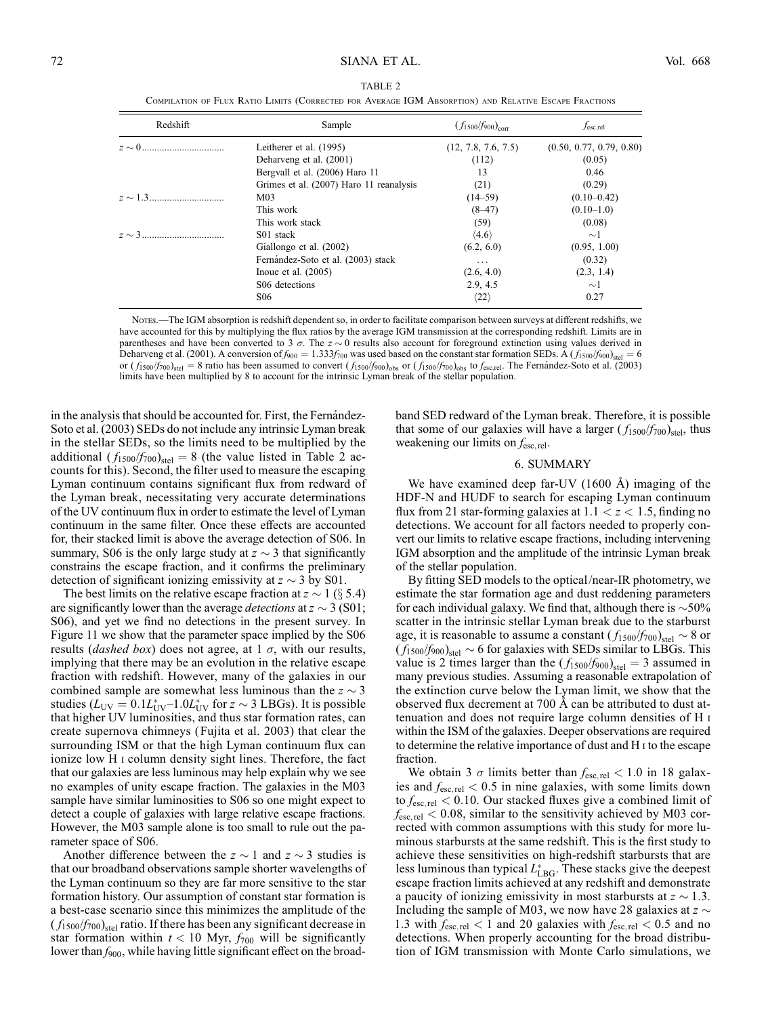| Redshift | Sample                                  | $(f_{1500}/f_{900})_{\text{corr}}$ | $f_{\rm esc, rel}$       |
|----------|-----------------------------------------|------------------------------------|--------------------------|
|          | Leitherer et al. (1995)                 | (12, 7.8, 7.6, 7.5)                | (0.50, 0.77, 0.79, 0.80) |
|          | Deharveng et al. (2001)                 | (112)                              | (0.05)                   |
|          | Bergyall et al. (2006) Haro 11          | 13                                 | 0.46                     |
|          | Grimes et al. (2007) Haro 11 reanalysis | (21)                               | (0.29)                   |
|          | M <sub>03</sub>                         | $(14-59)$                          | $(0.10 - 0.42)$          |
|          | This work                               | $(8-47)$                           | $(0.10-1.0)$             |
|          | This work stack                         | (59)                               | (0.08)                   |
|          | S <sub>01</sub> stack                   | $\langle 4.6 \rangle$              | $\sim$ 1                 |
|          | Giallongo et al. (2002)                 | (6.2, 6.0)                         | (0.95, 1.00)             |
|          | Fernández-Soto et al. (2003) stack      | $\cdots$                           | (0.32)                   |
|          | Inoue et al. $(2005)$                   | (2.6, 4.0)                         | (2.3, 1.4)               |
|          | S06 detections                          | 2.9, 4.5                           | $\sim$ 1                 |
|          | S <sub>06</sub>                         | $\langle 22 \rangle$               | 0.27                     |

TABLE 2 Compilation of Flux Ratio Limits (Corrected for Average IGM Absorption) and Relative Escape Fractions

Notes.—The IGM absorption is redshift dependent so, in order to facilitate comparison between surveys at different redshifts, we have accounted for this by multiplying the flux ratios by the average IGM transmission at the corresponding redshift. Limits are in parentheses and have been converted to 3  $\sigma$ . The  $z \sim 0$  results also account for foreground extinction using values derived in Deharveng et al. (2001). A conversion of  $f_{900} = 1.333f_{700}$  was used based on the constant star formation SEDs. A ( $f_{1500}/f_{900}$ )<sub>stel</sub> = 6 or  $(f_{1500}/f_{700})_{\text{stel}} = 8$  ratio has been assumed to convert  $(f_{1500}/f_{900})_{\text{obs}}$  or  $(f_{1500}/f_{700})_{\text{obs}}$  to  $f_{\text{esc,rel}}$ . The Fernandez-Soto et al. (2003) limits have been multiplied by 8 to account for the intrinsic Lyman break of the stellar population.

in the analysis that should be accounted for. First, the Fernandez-Soto et al. (2003) SEDs do not include any intrinsic Lyman break in the stellar SEDs, so the limits need to be multiplied by the additional  $(f_{1500}/f_{700})_{\text{stel}} = 8$  (the value listed in Table 2 accounts for this). Second, the filter used to measure the escaping Lyman continuum contains significant flux from redward of the Lyman break, necessitating very accurate determinations of the UV continuum flux in order to estimate the level of Lyman continuum in the same filter. Once these effects are accounted for, their stacked limit is above the average detection of S06. In summary, S06 is the only large study at  $z \sim 3$  that significantly constrains the escape fraction, and it confirms the preliminary detection of significant ionizing emissivity at  $z \sim 3$  by S01.

The best limits on the relative escape fraction at  $z \sim 1$  (§ 5.4) are significantly lower than the average *detections* at  $z \sim 3$  (S01; S06), and yet we find no detections in the present survey. In Figure 11 we show that the parameter space implied by the S06 results (*dashed box*) does not agree, at  $1\sigma$ , with our results, implying that there may be an evolution in the relative escape fraction with redshift. However, many of the galaxies in our combined sample are somewhat less luminous than the  $z \sim 3$ studies ( $L_{\rm UV} = 0.1 L_{\rm UV}^* - 1.0 L_{\rm UV}^*$  for  $z \sim 3$  LBGs). It is possible that higher UV luminosities, and thus star formation rates, can create supernova chimneys (Fujita et al. 2003) that clear the surrounding ISM or that the high Lyman continuum flux can ionize low H i column density sight lines. Therefore, the fact that our galaxies are less luminous may help explain why we see no examples of unity escape fraction. The galaxies in the M03 sample have similar luminosities to S06 so one might expect to detect a couple of galaxies with large relative escape fractions. However, the M03 sample alone is too small to rule out the parameter space of S06.

Another difference between the  $z \sim 1$  and  $z \sim 3$  studies is that our broadband observations sample shorter wavelengths of the Lyman continuum so they are far more sensitive to the star formation history. Our assumption of constant star formation is a best-case scenario since this minimizes the amplitude of the  $(f_{1500}/f_{700})_{\text{stel}}$  ratio. If there has been any significant decrease in star formation within  $t < 10$  Myr,  $f_{700}$  will be significantly lower than  $f_{900}$ , while having little significant effect on the broad-

band SED redward of the Lyman break. Therefore, it is possible that some of our galaxies will have a larger  $(f_{1500}/f_{700})_{\text{stel}}$ , thus weakening our limits on  $f_{\text{esc, rel}}$ .

## 6. SUMMARY

We have examined deep far-UV  $(1600 \text{ Å})$  imaging of the HDF-N and HUDF to search for escaping Lyman continuum flux from 21 star-forming galaxies at  $1.1 < z < 1.5$ , finding no detections. We account for all factors needed to properly convert our limits to relative escape fractions, including intervening IGM absorption and the amplitude of the intrinsic Lyman break of the stellar population.

By fitting SED models to the optical/near-IR photometry, we estimate the star formation age and dust reddening parameters for each individual galaxy. We find that, although there is  $\sim$  50% scatter in the intrinsic stellar Lyman break due to the starburst age, it is reasonable to assume a constant  $(f_{1500}/f_{700})_{\text{stel}} \sim 8$  or  $(f_{1500}/f_{900})_{\text{stel}} \sim 6$  for galaxies with SEDs similar to LBGs. This value is 2 times larger than the  $(f_{1500}/f_{900})_{\text{stel}} = 3$  assumed in many previous studies. Assuming a reasonable extrapolation of the extinction curve below the Lyman limit, we show that the observed flux decrement at 700 Å can be attributed to dust attenuation and does not require large column densities of H i within the ISM of the galaxies. Deeper observations are required to determine the relative importance of dust and H i to the escape fraction.

We obtain 3  $\sigma$  limits better than  $f_{\text{esc,rel}} < 1.0$  in 18 galaxies and  $f_{\text{esc,rel}} < 0.5$  in nine galaxies, with some limits down to  $f_{\text{esc, rel}}$  < 0.10. Our stacked fluxes give a combined limit of  $f_{\rm esc, rel}$   $< 0.08$ , similar to the sensitivity achieved by M03 corrected with common assumptions with this study for more luminous starbursts at the same redshift. This is the first study to achieve these sensitivities on high-redshift starbursts that are less luminous than typical  $L_{\text{LBG}}^*$ . These stacks give the deepest escape fraction limits achieved at any redshift and demonstrate a paucity of ionizing emissivity in most starbursts at  $z \sim 1.3$ . Including the sample of M03, we now have 28 galaxies at  $z \sim$ 1.3 with  $f_{\text{esc,rel}} < 1$  and 20 galaxies with  $f_{\text{esc,rel}} < 0.5$  and no detections. When properly accounting for the broad distribution of IGM transmission with Monte Carlo simulations, we